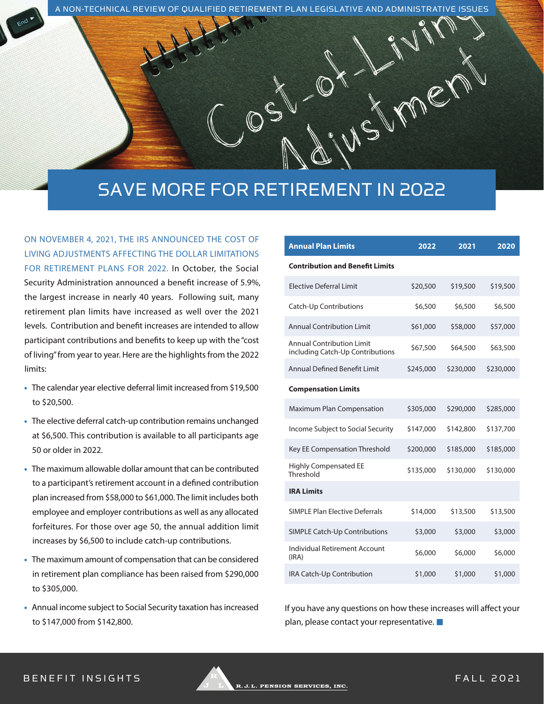A NON-TECHNICAL REVIEW OF QUALIFIED RETIREMENT PLAN LEGISLATIVE AND ADMINISTRATIVE ISSUES

# SAVE MORE FOR RETIREMENT IN 2022

ON NOVEMBER 4, 2021, THE IRS ANNOUNCED THE COST OF LIVING ADJUSTMENTS AFFECTING THE DOLLAR LIMITATIONS FOR RETIREMENT PLANS FOR 2022. In October, the Social Security Administration announced a benefit increase of 5.9%, the largest increase in nearly 40 years. Following suit, many retirement plan limits have increased as well over the 2021 levels. Contribution and benefit increases are intended to allow participant contributions and benefits to keep up with the "cost of living" from year to year. Here are the highlights from the 2022 limits:

- **•** The calendar year elective deferral limit increased from \$19,500 to \$20,500.
- **•** The elective deferral catch-up contribution remains unchanged at \$6,500. This contribution is available to all participants age 50 or older in 2022.
- **•** The maximum allowable dollar amount that can be contributed to a participant's retirement account in a defined contribution plan increased from \$58,000 to \$61,000. The limit includes both employee and employer contributions as well as any allocated forfeitures. For those over age 50, the annual addition limit increases by \$6,500 to include catch-up contributions.
- **•** The maximum amount of compensation that can be considered in retirement plan compliance has been raised from \$290,000 to \$305,000.
- **•** Annual income subject to Social Security taxation has increased to \$147,000 from \$142,800.

| <b>Annual Plan Limits</b>                                            | 2022      | 2021      | 2020      |
|----------------------------------------------------------------------|-----------|-----------|-----------|
| <b>Contribution and Benefit Limits</b>                               |           |           |           |
| <b>Flective Deferral Limit</b>                                       | \$20,500  | \$19,500  | \$19,500  |
| <b>Catch-Up Contributions</b>                                        | \$6,500   | \$6,500   | \$6,500   |
| <b>Annual Contribution Limit</b>                                     | \$61,000  | \$58,000  | \$57,000  |
| <b>Annual Contribution Limit</b><br>including Catch-Up Contributions | \$67,500  | \$64,500  | \$63,500  |
| <b>Annual Defined Benefit Limit</b>                                  | \$245,000 | \$230,000 | \$230,000 |
| <b>Compensation Limits</b>                                           |           |           |           |
| <b>Maximum Plan Compensation</b>                                     | \$305,000 | \$290,000 | \$285,000 |
| Income Subject to Social Security                                    | \$147,000 | \$142,800 | \$137,700 |
| Key EE Compensation Threshold                                        | \$200,000 | \$185,000 | \$185,000 |
| <b>Highly Compensated EE</b><br>Threshold                            | \$135,000 | \$130,000 | \$130,000 |
| <b>IRA Limits</b>                                                    |           |           |           |
| <b>SIMPLE Plan Elective Deferrals</b>                                | \$14,000  | \$13,500  | \$13,500  |
| <b>SIMPLE Catch-Up Contributions</b>                                 | \$3,000   | \$3,000   | \$3,000   |
| Individual Retirement Account<br>(IRA)                               | \$6,000   | \$6,000   | \$6,000   |
| IRA Catch-Up Contribution                                            | \$1,000   | \$1,000   | \$1,000   |

Amer

If you have any questions on how these increases will affect your plan, please contact your representative. **■**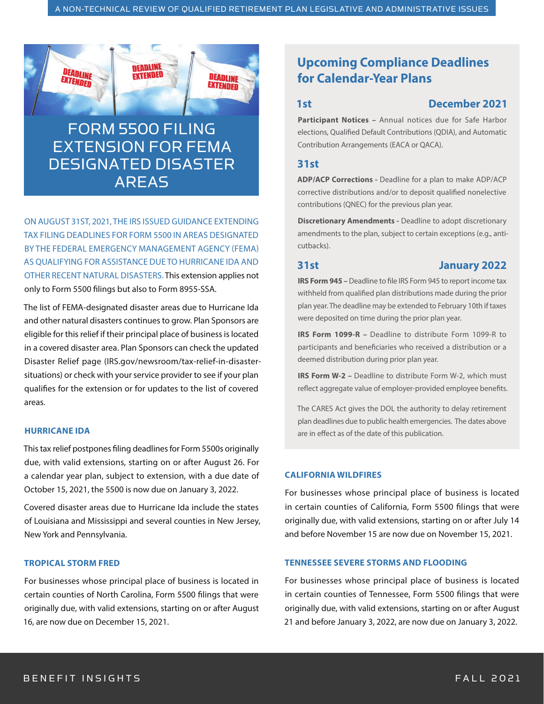**DEADLINE**<br>Extended



*DEADLINE* 

**EXTENDED** 

DEADLINE

EXTENDED

ON AUGUST 31ST, 2021, THE IRS ISSUED GUIDANCE EXTENDING TAX FILING DEADLINES FOR FORM 5500 IN AREAS DESIGNATED BY THE FEDERAL EMERGENCY MANAGEMENT AGENCY (FEMA) AS QUALIFYING FOR ASSISTANCE DUE TO HURRICANE IDA AND OTHER RECENT NATURAL DISASTERS. This extension applies not only to Form 5500 filings but also to Form 8955-SSA.

The list of FEMA-designated disaster areas due to Hurricane Ida and other natural disasters continues to grow. Plan Sponsors are eligible for this relief if their principal place of business is located in a covered disaster area. Plan Sponsors can check the updated Disaster Relief page (IRS.gov/newsroom/tax-relief-in-disastersituations) or check with your service provider to see if your plan qualifies for the extension or for updates to the list of covered areas.

### **HURRICANE IDA**

This tax relief postpones filing deadlines for Form 5500s originally due, with valid extensions, starting on or after August 26. For a calendar year plan, subject to extension, with a due date of October 15, 2021, the 5500 is now due on January 3, 2022.

Covered disaster areas due to Hurricane Ida include the states of Louisiana and Mississippi and several counties in New Jersey, New York and Pennsylvania.

#### **TROPICAL STORM FRED**

For businesses whose principal place of business is located in certain counties of North Carolina, Form 5500 filings that were originally due, with valid extensions, starting on or after August 16, are now due on December 15, 2021.

# **Upcoming Compliance Deadlines for Calendar-Year Plans**

#### **1st December 2021**

**Participant Notices –** Annual notices due for Safe Harbor elections, Qualified Default Contributions (QDIA), and Automatic Contribution Arrangements (EACA or QACA).

#### **31st**

**ADP/ACP Corrections -** Deadline for a plan to make ADP/ACP corrective distributions and/or to deposit qualified nonelective contributions (QNEC) for the previous plan year.

**Discretionary Amendments -** Deadline to adopt discretionary amendments to the plan, subject to certain exceptions (e.g., anticutbacks).

#### **31st January 2022**

**IRS Form 945 –** Deadline to file IRS Form 945 to report income tax withheld from qualified plan distributions made during the prior plan year. The deadline may be extended to February 10th if taxes were deposited on time during the prior plan year.

**IRS Form 1099-R –** Deadline to distribute Form 1099-R to participants and beneficiaries who received a distribution or a deemed distribution during prior plan year.

**IRS Form W-2 -** Deadline to distribute Form W-2, which must reflect aggregate value of employer-provided employee benefits.

The CARES Act gives the DOL the authority to delay retirement plan deadlines due to public health emergencies. The dates above are in effect as of the date of this publication.

#### **CALIFORNIA WILDFIRES**

For businesses whose principal place of business is located in certain counties of California, Form 5500 filings that were originally due, with valid extensions, starting on or after July 14 and before November 15 are now due on November 15, 2021.

### **TENNESSEE SEVERE STORMS AND FLOODING**

For businesses whose principal place of business is located in certain counties of Tennessee, Form 5500 filings that were originally due, with valid extensions, starting on or after August 21 and before January 3, 2022, are now due on January 3, 2022.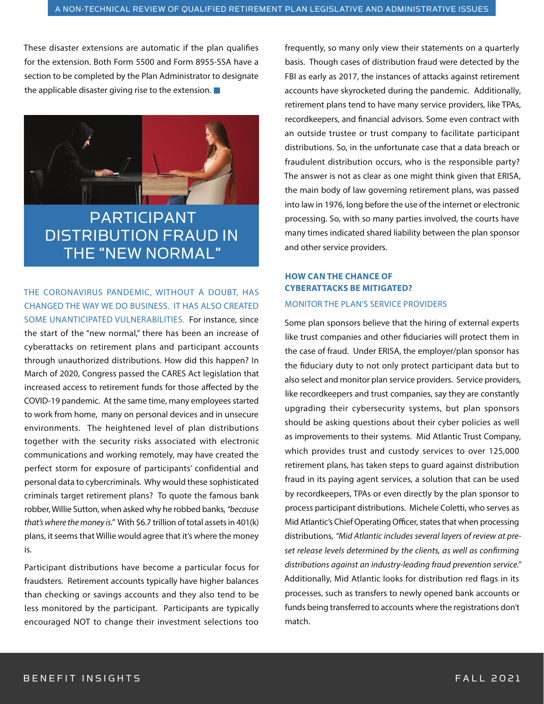These disaster extensions are automatic if the plan qualifies for the extension. Both Form 5500 and Form 8955-SSA have a section to be completed by the Plan Administrator to designate the applicable disaster giving rise to the extension. **■**



PARTICIPANT DISTRIBUTION FRAUD IN THE "NEW NORMAL"

## THE CORONAVIRUS PANDEMIC, WITHOUT A DOUBT, HAS CHANGED THE WAY WE DO BUSINESS. IT HAS ALSO CREATED SOME UNANTICIPATED VULNERABILITIES. For instance, since

the start of the "new normal," there has been an increase of cyberattacks on retirement plans and participant accounts through unauthorized distributions. How did this happen? In March of 2020, Congress passed the CARES Act legislation that increased access to retirement funds for those affected by the COVID-19 pandemic. At the same time, many employees started to work from home, many on personal devices and in unsecure environments. The heightened level of plan distributions together with the security risks associated with electronic communications and working remotely, may have created the perfect storm for exposure of participants' confidential and personal data to cybercriminals. Why would these sophisticated criminals target retirement plans? To quote the famous bank robber, Willie Sutton, when asked why he robbed banks, *"because that's where the money is."* With \$6.7 trillion of total assets in 401(k) plans, it seems that Willie would agree that it's where the money is.

Participant distributions have become a particular focus for fraudsters. Retirement accounts typically have higher balances than checking or savings accounts and they also tend to be less monitored by the participant. Participants are typically encouraged NOT to change their investment selections too

frequently, so many only view their statements on a quarterly basis. Though cases of distribution fraud were detected by the FBI as early as 2017, the instances of attacks against retirement accounts have skyrocketed during the pandemic. Additionally, retirement plans tend to have many service providers, like TPAs, recordkeepers, and financial advisors. Some even contract with an outside trustee or trust company to facilitate participant distributions. So, in the unfortunate case that a data breach or fraudulent distribution occurs, who is the responsible party? The answer is not as clear as one might think given that ERISA, the main body of law governing retirement plans, was passed into law in 1976, long before the use of the internet or electronic processing. So, with so many parties involved, the courts have many times indicated shared liability between the plan sponsor and other service providers.

# **HOW CAN THE CHANCE OF CYBERATTACKS BE MITIGATED?** MONITOR THE PLAN'S SERVICE PROVIDERS

Some plan sponsors believe that the hiring of external experts like trust companies and other fiduciaries will protect them in the case of fraud. Under ERISA, the employer/plan sponsor has the fiduciary duty to not only protect participant data but to also select and monitor plan service providers. Service providers, like recordkeepers and trust companies, say they are constantly upgrading their cybersecurity systems, but plan sponsors should be asking questions about their cyber policies as well as improvements to their systems. Mid Atlantic Trust Company, which provides trust and custody services to over 125,000 retirement plans, has taken steps to guard against distribution fraud in its paying agent services, a solution that can be used by recordkeepers, TPAs or even directly by the plan sponsor to process participant distributions. Michele Coletti, who serves as Mid Atlantic's Chief Operating Officer, states that when processing distributions, *"Mid Atlantic includes several layers of review at preset release levels determined by the clients, as well as confirming distributions against an industry-leading fraud prevention service."* Additionally, Mid Atlantic looks for distribution red flags in its processes, such as transfers to newly opened bank accounts or funds being transferred to accounts where the registrations don't match.